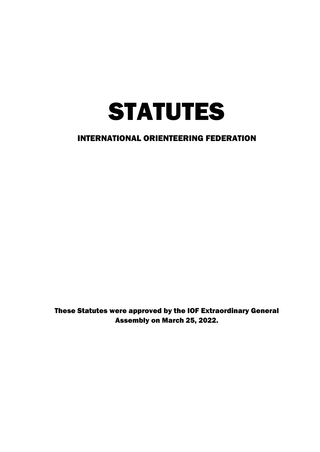

These Statutes were approved by the IOF Extraordinary General Assembly on March 25, 2022.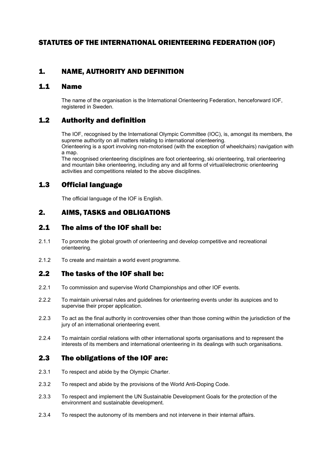## STATUTES OF THE INTERNATIONAL ORIENTEERING FEDERATION (IOF)

## 1. NAME, AUTHORITY AND DEFINITION

#### 1.1 Name

The name of the organisation is the International Orienteering Federation, henceforward IOF, registered in Sweden.

## 1.2 Authority and definition

The IOF, recognised by the International Olympic Committee (IOC), is, amongst its members, the supreme authority on all matters relating to international orienteering. Orienteering is a sport involving non-motorised (with the exception of wheelchairs) navigation with a map.

The recognised orienteering disciplines are foot orienteering, ski orienteering, trail orienteering and mountain bike orienteering, including any and all forms of virtual/electronic orienteering activities and competitions related to the above disciplines.

## 1.3 Official language

The official language of the IOF is English.

## 2. AIMS, TASKS and OBLIGATIONS

## 2.1 The aims of the IOF shall be:

- 2.1.1 To promote the global growth of orienteering and develop competitive and recreational orienteering.
- 2.1.2 To create and maintain a world event programme.

## 2.2 The tasks of the IOF shall be:

- 2.2.1 To commission and supervise World Championships and other IOF events.
- 2.2.2 To maintain universal rules and guidelines for orienteering events under its auspices and to supervise their proper application.
- 2.2.3 To act as the final authority in controversies other than those coming within the jurisdiction of the jury of an international orienteering event.
- 2.2.4 To maintain cordial relations with other international sports organisations and to represent the interests of its members and international orienteering in its dealings with such organisations.

## 2.3 The obligations of the IOF are:

- 2.3.1 To respect and abide by the Olympic Charter.
- 2.3.2 To respect and abide by the provisions of the World Anti-Doping Code.
- 2.3.3 To respect and implement the UN Sustainable Development Goals for the protection of the environment and sustainable development.
- 2.3.4 To respect the autonomy of its members and not intervene in their internal affairs.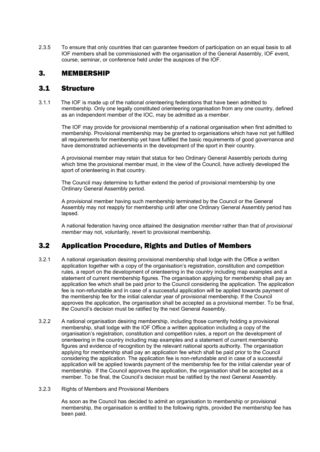2.3.5 To ensure that only countries that can guarantee freedom of participation on an equal basis to all IOF members shall be commissioned with the organisation of the General Assembly, IOF event, course, seminar, or conference held under the auspices of the IOF.

## 3. MEMBERSHIP

## 3.1 Structure

3.1.1 The IOF is made up of the national orienteering federations that have been admitted to membership. Only one legally constituted orienteering organisation from any one country, defined as an independent member of the IOC, may be admitted as a member.

 The IOF may provide for provisional membership of a national organisation when first admitted to membership. Provisional membership may be granted to organisations which have not yet fulfilled all requirements for membership yet have fulfilled the basic requirements of good governance and have demonstrated achievements in the development of the sport in their country.

A provisional member may retain that status for two Ordinary General Assembly periods during which time the provisional member must, in the view of the Council, have actively developed the sport of orienteering in that country.

The Council may determine to further extend the period of provisional membership by one Ordinary General Assembly period.

A provisional member having such membership terminated by the Council or the General Assembly may not reapply for membership until after one Ordinary General Assembly period has lapsed.

A national federation having once attained the designation *member* rather than that of *provisional member* may not, voluntarily, revert to provisional membership.

## 3.2 Application Procedure, Rights and Duties of Members

- 3.2.1 A national organisation desiring provisional membership shall lodge with the Office a written application together with a copy of the organisation's registration, constitution and competition rules, a report on the development of orienteering in the country including map examples and a statement of current membership figures. The organisation applying for membership shall pay an application fee which shall be paid prior to the Council considering the application. The application fee is non-refundable and in case of a successful application will be applied towards payment of the membership fee for the initial calendar year of provisional membership. If the Council approves the application, the organisation shall be accepted as a provisional member. To be final, the Council's decision must be ratified by the next General Assembly.
- 3.2.2 A national organisation desiring membership, including those currently holding a provisional membership, shall lodge with the IOF Office a written application including a copy of the organisation's registration, constitution and competition rules, a report on the development of orienteering in the country including map examples and a statement of current membership figures and evidence of recognition by the relevant national sports authority. The organisation applying for membership shall pay an application fee which shall be paid prior to the Council considering the application. The application fee is non-refundable and in case of a successful application will be applied towards payment of the membership fee for the initial calendar year of membership. If the Council approves the application, the organisation shall be accepted as a member. To be final, the Council's decision must be ratified by the next General Assembly.
- 3.2.3 Rights of Members and Provisional Members

As soon as the Council has decided to admit an organisation to membership or provisional membership, the organisation is entitled to the following rights, provided the membership fee has been paid.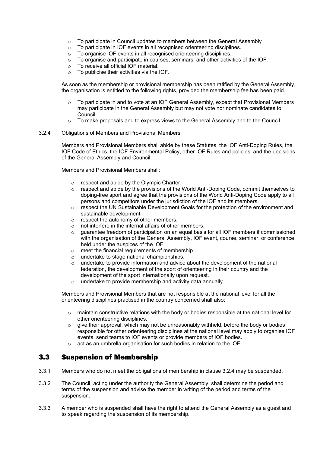- $\circ$  To participate in Council updates to members between the General Assembly
- o To participate in IOF events in all recognised orienteering disciplines.
- o To organise IOF events in all recognised orienteering disciplines.
- $\circ$  To organise and participate in courses, seminars, and other activities of the IOF.
- o To receive all official IOF material.
- $\circ$  To publicise their activities via the IOF.

As soon as the membership or provisional membership has been ratified by the General Assembly, the organisation is entitled to the following rights, provided the membership fee has been paid.

- To participate in and to vote at an IOF General Assembly, except that Provisional Members may participate in the General Assembly but may not vote nor nominate candidates to Council.
- $\circ$  To make proposals and to express views to the General Assembly and to the Council.

#### 3.2.4 Obligations of Members and Provisional Members

Members and Provisional Members shall abide by these Statutes, the IOF Anti-Doping Rules, the IOF Code of Ethics, the IOF Environmental Policy, other IOF Rules and policies, and the decisions of the General Assembly and Council.

Members and Provisional Members shall:

- $\circ$  respect and abide by the Olympic Charter.<br> $\circ$  respect and abide by the provisions of the 1
- respect and abide by the provisions of the World Anti-Doping Code, commit themselves to doping-free sport and agree that the provisions of the World Anti-Doping Code apply to all persons and competitors under the jurisdiction of the IOF and its members.
- o respect the UN Sustainable Development Goals for the protection of the environment and sustainable development.
- $\circ$  respect the autonomy of other members.<br>  $\circ$  not interfere in the internal affairs of other
- $\circ$  not interfere in the internal affairs of other members.<br> $\circ$  quarantee freedom of participation on an equal basis
- o guarantee freedom of participation on an equal basis for all IOF members if commissioned with the organisation of the General Assembly, IOF event, course, seminar, or conference held under the auspices of the IOF.
- $\circ$  meet the financial requirements of membership.
- o undertake to stage national championships.
- $\circ$  undertake to provide information and advice about the development of the national federation, the development of the sport of orienteering in their country and the development of the sport internationally upon request.
- o undertake to provide membership and activity data annually.

Members and Provisional Members that are not responsible at the national level for all the orienteering disciplines practised in the country concerned shall also:

- $\circ$  maintain constructive relations with the body or bodies responsible at the national level for other orienteering disciplines.
- $\circ$  give their approval, which may not be unreasonably withheld, before the body or bodies responsible for other orienteering disciplines at the national level may apply to organise IOF events, send teams to IOF events or provide members of IOF bodies.
- o act as an umbrella organisation for such bodies in relation to the IOF.

#### 3.3 Suspension of Membership

- 3.3.1 Members who do not meet the obligations of membership in clause 3.2.4 may be suspended.
- 3.3.2 The Council, acting under the authority the General Assembly, shall determine the period and terms of the suspension and advise the member in writing of the period and terms of the suspension.
- 3.3.3 A member who is suspended shall have the right to attend the General Assembly as a guest and to speak regarding the suspension of its membership.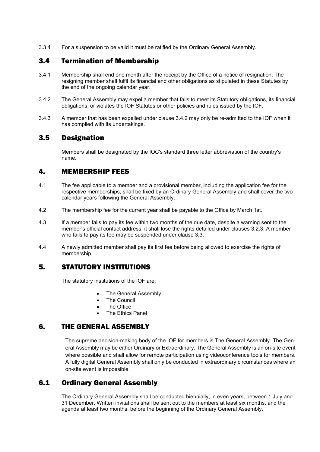3.3.4 For a suspension to be valid it must be ratified by the Ordinary General Assembly.

## 3.4 Termination of Membership

- 3.4.1 Membership shall end one month after the receipt by the Office of a notice of resignation. The resigning member shall fulfil its financial and other obligations as stipulated in these Statutes by the end of the ongoing calendar year.
- 3.4.2 The General Assembly may expel a member that fails to meet its Statutory obligations, its financial obligations, or violates the IOF Statutes or other policies and rules issued by the IOF.
- 3.4.3 A member that has been expelled under clause 3.4.2 may only be re-admitted to the IOF when it has complied with its undertakings.

### 3.5 Designation

Members shall be designated by the IOC's standard three letter abbreviation of the country's name.

### 4. MEMBERSHIP FEES

- 4.1 The fee applicable to a member and a provisional member, including the application fee for the respective memberships, shall be fixed by an Ordinary General Assembly and shall cover the two calendar years following the General Assembly.
- 4.2 The membership fee for the current year shall be payable to the Office by March 1st.
- 4.3 If a member fails to pay its fee within two months of the due date, despite a warning sent to the member's official contact address, it shall lose the rights detailed under clauses 3.2.3. A member who fails to pay its fee may be suspended under clause 3.3.
- 4.4 A newly admitted member shall pay its first fee before being allowed to exercise the rights of membership.

## 5. STATUTORY INSTITUTIONS

The statutory institutions of the IOF are:

- The General Assembly
- **The Council**
- The Office
- **The Ethics Panel**

## 6. THE GENERAL ASSEMBLY

The supreme decision-making body of the IOF for members is The General Assembly. The General Assembly may be either Ordinary or Extraordinary. The General Assembly is an on-site event where possible and shall allow for remote participation using videoconference tools for members. A fully digital General Assembly shall only be conducted in extraordinary circumstances where an on-site event is impossible.

## 6.1 Ordinary General Assembly

The Ordinary General Assembly shall be conducted biennially, in even years, between 1 July and 31 December. Written invitations shall be sent out to the members at least six months, and the agenda at least two months, before the beginning of the Ordinary General Assembly.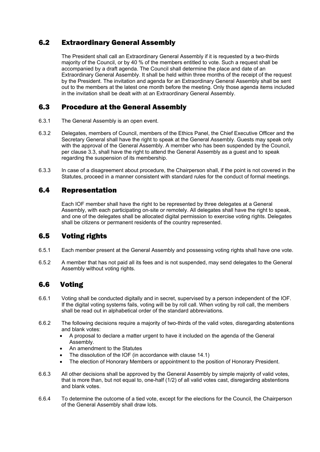## 6.2 Extraordinary General Assembly

The President shall call an Extraordinary General Assembly if it is requested by a two-thirds majority of the Council, or by 40 % of the members entitled to vote. Such a request shall be accompanied by a draft agenda. The Council shall determine the place and date of an Extraordinary General Assembly. It shall be held within three months of the receipt of the request by the President. The invitation and agenda for an Extraordinary General Assembly shall be sent out to the members at the latest one month before the meeting. Only those agenda items included in the invitation shall be dealt with at an Extraordinary General Assembly.

## 6.3 Procedure at the General Assembly

- 6.3.1 The General Assembly is an open event.
- 6.3.2 Delegates, members of Council, members of the Ethics Panel, the Chief Executive Officer and the Secretary General shall have the right to speak at the General Assembly. Guests may speak only with the approval of the General Assembly. A member who has been suspended by the Council, per clause 3.3, shall have the right to attend the General Assembly as a guest and to speak regarding the suspension of its membership.
- 6.3.3 In case of a disagreement about procedure, the Chairperson shall, if the point is not covered in the Statutes, proceed in a manner consistent with standard rules for the conduct of formal meetings.

## 6.4 Representation

Each IOF member shall have the right to be represented by three delegates at a General Assembly, with each participating on-site or remotely. All delegates shall have the right to speak, and one of the delegates shall be allocated digital permission to exercise voting rights. Delegates shall be citizens or permanent residents of the country represented.

## 6.5 Voting rights

- 6.5.1 Each member present at the General Assembly and possessing voting rights shall have one vote.
- 6.5.2 A member that has not paid all its fees and is not suspended, may send delegates to the General Assembly without voting rights.

## 6.6 Voting

- 6.6.1 Voting shall be conducted digitally and in secret, supervised by a person independent of the IOF. If the digital voting systems fails, voting will be by roll call. When voting by roll call, the members shall be read out in alphabetical order of the standard abbreviations.
- 6.6.2 The following decisions require a majority of two-thirds of the valid votes, disregarding abstentions and blank votes:
	- A proposal to declare a matter urgent to have it included on the agenda of the General Assembly.
	- An amendment to the Statutes
	- The dissolution of the IOF (in accordance with clause 14.1)
	- The election of Honorary Members or appointment to the position of Honorary President.
- 6.6.3 All other decisions shall be approved by the General Assembly by simple majority of valid votes, that is more than, but not equal to, one-half (1/2) of all valid votes cast, disregarding abstentions and blank votes.
- 6.6.4 To determine the outcome of a tied vote, except for the elections for the Council, the Chairperson of the General Assembly shall draw lots.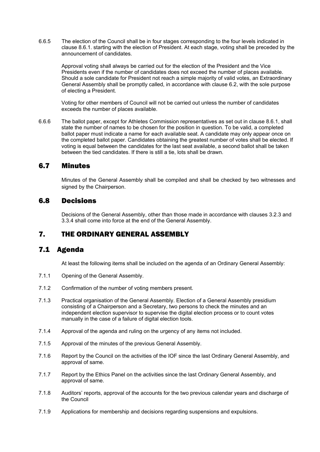6.6.5 The election of the Council shall be in four stages corresponding to the four levels indicated in clause 8.6.1. starting with the election of President. At each stage, voting shall be preceded by the announcement of candidates.

Approval voting shall always be carried out for the election of the President and the Vice Presidents even if the number of candidates does not exceed the number of places available. Should a sole candidate for President not reach a simple majority of valid votes, an Extraordinary General Assembly shall be promptly called, in accordance with clause 6.2, with the sole purpose of electing a President.

Voting for other members of Council will not be carried out unless the number of candidates exceeds the number of places available.

6.6.6 The ballot paper, except for Athletes Commission representatives as set out in clause 8.6.1, shall state the number of names to be chosen for the position in question. To be valid, a completed ballot paper must indicate a name for each available seat. A candidate may only appear once on the completed ballot paper. Candidates obtaining the greatest number of votes shall be elected. If voting is equal between the candidates for the last seat available, a second ballot shall be taken between the tied candidates. If there is still a tie, lots shall be drawn.

#### 6.7 Minutes

Minutes of the General Assembly shall be compiled and shall be checked by two witnesses and signed by the Chairperson.

#### 6.8 Decisions

Decisions of the General Assembly, other than those made in accordance with clauses 3.2.3 and 3.3.4 shall come into force at the end of the General Assembly.

#### 7. THE ORDINARY GENERAL ASSEMBLY

#### 7.1 Agenda

At least the following items shall be included on the agenda of an Ordinary General Assembly:

- 7.1.1 Opening of the General Assembly.
- 7.1.2 Confirmation of the number of voting members present.
- 7.1.3 Practical organisation of the General Assembly. Election of a General Assembly presidium consisting of a Chairperson and a Secretary, two persons to check the minutes and an independent election supervisor to supervise the digital election process or to count votes manually in the case of a failure of digital election tools.
- 7.1.4 Approval of the agenda and ruling on the urgency of any items not included.
- 7.1.5 Approval of the minutes of the previous General Assembly.
- 7.1.6 Report by the Council on the activities of the IOF since the last Ordinary General Assembly, and approval of same.
- 7.1.7 Report by the Ethics Panel on the activities since the last Ordinary General Assembly, and approval of same.
- 7.1.8 Auditors' reports, approval of the accounts for the two previous calendar years and discharge of the Council
- 7.1.9 Applications for membership and decisions regarding suspensions and expulsions.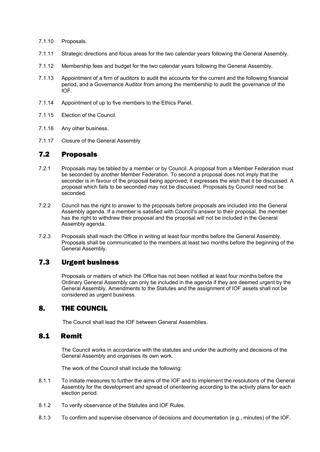- 7.1.10 Proposals.
- 7.1.11 Strategic directions and focus areas for the two calendar years following the General Assembly.
- 7.1.12 Membership fees and budget for the two calendar years following the General Assembly.
- 7.1.13 Appointment of a firm of auditors to audit the accounts for the current and the following financial period, and a Governance Auditor from among the membership to audit the governance of the IOF.
- 7.1.14 Appointment of up to five members to the Ethics Panel.
- 7.1.15 Election of the Council.
- 7.1.16 Any other business.
- 7.1.17 Closure of the General Assembly

#### 7.2 Proposals

- 7.2.1 Proposals may be tabled by a member or by Council. A proposal from a Member Federation must be seconded by another Member Federation. To second a proposal does not imply that the seconder is in favour of the proposal being approved; it expresses the wish that it be discussed. A proposal which fails to be seconded may not be discussed. Proposals by Council need not be seconded.
- 7.2.2 Council has the right to answer to the proposals before proposals are included into the General Assembly agenda. If a member is satisfied with Council's answer to their proposal, the member has the right to withdraw their proposal and the proposal will not be included in the General Assembly agenda.
- 7.2.3 Proposals shall reach the Office in writing at least four months before the General Assembly. Proposals shall be communicated to the members at least two months before the beginning of the General Assembly.

## 7.3 Urgent business

Proposals or matters of which the Office has not been notified at least four months before the Ordinary General Assembly can only be included in the agenda if they are deemed urgent by the General Assembly. Amendments to the Statutes and the assignment of IOF assets shall not be considered as urgent business.

#### 8. THE COUNCIL

The Council shall lead the IOF between General Assemblies.

#### 8.1 Remit

The Council works in accordance with the statutes and under the authority and decisions of the General Assembly and organises its own work.

The work of the Council shall include the following:

- 8.1.1 To initiate measures to further the aims of the IOF and to implement the resolutions of the General Assembly for the development and spread of orienteering according to the activity plans for each election period.
- 8.1.2 To verify observance of the Statutes and IOF Rules.
- 8.1.3 To confirm and supervise observance of decisions and documentation (e.g., minutes) of the IOF.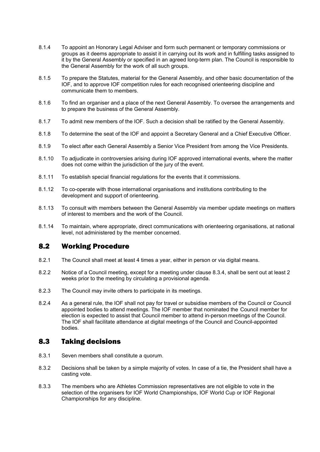- 8.1.4 To appoint an Honorary Legal Adviser and form such permanent or temporary commissions or groups as it deems appropriate to assist it in carrying out its work and in fulfilling tasks assigned to it by the General Assembly or specified in an agreed long-term plan. The Council is responsible to the General Assembly for the work of all such groups.
- 8.1.5 To prepare the Statutes, material for the General Assembly, and other basic documentation of the IOF, and to approve IOF competition rules for each recognised orienteering discipline and communicate them to members.
- 8.1.6 To find an organiser and a place of the next General Assembly. To oversee the arrangements and to prepare the business of the General Assembly.
- 8.1.7 To admit new members of the IOF. Such a decision shall be ratified by the General Assembly.
- 8.1.8 To determine the seat of the IOF and appoint a Secretary General and a Chief Executive Officer.
- 8.1.9 To elect after each General Assembly a Senior Vice President from among the Vice Presidents.
- 8.1.10 To adjudicate in controversies arising during IOF approved international events, where the matter does not come within the jurisdiction of the jury of the event.
- 8.1.11 To establish special financial regulations for the events that it commissions.
- 8.1.12 To co-operate with those international organisations and institutions contributing to the development and support of orienteering.
- 8.1.13 To consult with members between the General Assembly via member update meetings on matters of interest to members and the work of the Council.
- 8.1.14 To maintain, where appropriate, direct communications with orienteering organisations, at national level, not administered by the member concerned.

#### 8.2 Working Procedure

- 8.2.1 The Council shall meet at least 4 times a year, either in person or via digital means.
- 8.2.2 Notice of a Council meeting, except for a meeting under clause 8.3.4, shall be sent out at least 2 weeks prior to the meeting by circulating a provisional agenda.
- 8.2.3 The Council may invite others to participate in its meetings.
- 8.2.4 As a general rule, the IOF shall not pay for travel or subsidise members of the Council or Council appointed bodies to attend meetings. The IOF member that nominated the Council member for election is expected to assist that Council member to attend in-person meetings of the Council. The IOF shall facilitate attendance at digital meetings of the Council and Council-appointed bodies.

#### 8.3 Taking decisions

- 8.3.1 Seven members shall constitute a quorum.
- 8.3.2 Decisions shall be taken by a simple majority of votes. In case of a tie, the President shall have a casting vote.
- 8.3.3 The members who are Athletes Commission representatives are not eligible to vote in the selection of the organisers for IOF World Championships, IOF World Cup or IOF Regional Championships for any discipline.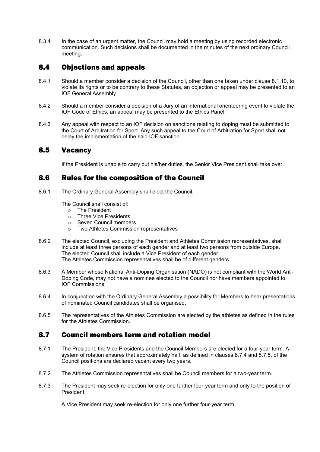8.3.4 In the case of an urgent matter, the Council may hold a meeting by using recorded electronic communication. Such decisions shall be documented in the minutes of the next ordinary Council meeting.

## 8.4 Objections and appeals

- 8.4.1 Should a member consider a decision of the Council, other than one taken under clause 8.1.10, to violate its rights or to be contrary to these Statutes, an objection or appeal may be presented to an IOF General Assembly.
- 8.4.2 Should a member consider a decision of a Jury of an international orienteering event to violate the IOF Code of Ethics, an appeal may be presented to the Ethics Panel.
- 8.4.3 Any appeal with respect to an IOF decision on sanctions relating to doping must be submitted to the Court of Arbitration for Sport. Any such appeal to the Court of Arbitration for Sport shall not delay the implementation of the said IOF sanction.

### 8.5 Vacancy

If the President is unable to carry out his/her duties, the Senior Vice President shall take over.

### 8.6 Rules for the composition of the Council

8.6.1 The Ordinary General Assembly shall elect the Council.

The Council shall consist of:

- $\circ$  The President
- Three Vice Presidents
- o Seven Council members
- o Two Athletes Commission representatives
- 8.6.2 The elected Council, excluding the President and Athletes Commission representatives, shall include at least three persons of each gender and at least two persons from outside Europe. The elected Council shall include a Vice President of each gender. The Athletes Commission representatives shall be of different genders.
- 8.6.3 A Member whose National Anti-Doping Organisation (NADO) is not compliant with the World Anti-Doping Code, may not have a nominee elected to the Council nor have members appointed to IOF Commissions.
- 8.6.4 In conjunction with the Ordinary General Assembly a possibility for Members to hear presentations of nominated Council candidates shall be organised.
- 8.6.5 The representatives of the Athletes Commission are elected by the athletes as defined in the rules for the Athletes Commission.

## 8.7 Council members term and rotation model

- 8.7.1 The President, the Vice Presidents and the Council Members are elected for a four-year term. A system of rotation ensures that approximately half, as defined in clauses 8.7.4 and 8.7.5, of the Council positions are declared vacant every two years.
- 8.7.2 The Athletes Commission representatives shall be Council members for a two-year term.
- 8.7.3 The President may seek re-election for only one further four-year term and only to the position of President.

A Vice President may seek re-election for only one further four-year term.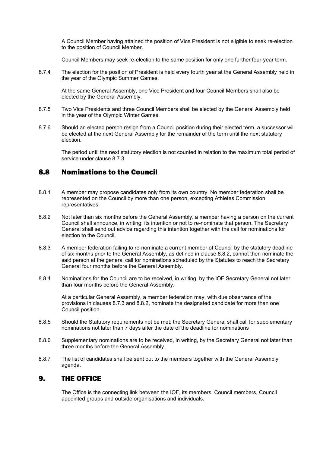A Council Member having attained the position of Vice President is not eligible to seek re-election to the position of Council Member.

Council Members may seek re-election to the same position for only one further four-year term.

8.7.4 The election for the position of President is held every fourth year at the General Assembly held in the year of the Olympic Summer Games.

At the same General Assembly, one Vice President and four Council Members shall also be elected by the General Assembly.

- 8.7.5 Two Vice Presidents and three Council Members shall be elected by the General Assembly held in the year of the Olympic Winter Games.
- 8.7.6 Should an elected person resign from a Council position during their elected term, a successor will be elected at the next General Assembly for the remainder of the term until the next statutory election.

The period until the next statutory election is not counted in relation to the maximum total period of service under clause 8.7.3.

### 8.8 Nominations to the Council

- 8.8.1 A member may propose candidates only from its own country. No member federation shall be represented on the Council by more than one person, excepting Athletes Commission representatives.
- 8.8.2 Not later than six months before the General Assembly, a member having a person on the current Council shall announce, in writing, its intention or not to re-nominate that person. The Secretary General shall send out advice regarding this intention together with the call for nominations for election to the Council.
- 8.8.3 A member federation failing to re-nominate a current member of Council by the statutory deadline of six months prior to the General Assembly, as defined in clause 8.8.2, cannot then nominate the said person at the general call for nominations scheduled by the Statutes to reach the Secretary General four months before the General Assembly.
- 8.8.4 Nominations for the Council are to be received, in writing, by the IOF Secretary General not later than four months before the General Assembly.

At a particular General Assembly, a member federation may, with due observance of the provisions in clauses 8.7.3 and 8.8.2, nominate the designated candidate for more than one Council position.

- 8.8.5 Should the Statutory requirements not be met; the Secretary General shall call for supplementary nominations not later than 7 days after the date of the deadline for nominations
- 8.8.6 Supplementary nominations are to be received, in writing, by the Secretary General not later than three months before the General Assembly.
- 8.8.7 The list of candidates shall be sent out to the members together with the General Assembly agenda.

#### 9. THE OFFICE

The Office is the connecting link between the IOF, its members, Council members, Council appointed groups and outside organisations and individuals.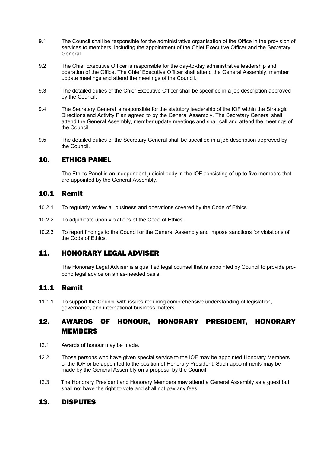- 9.1 The Council shall be responsible for the administrative organisation of the Office in the provision of services to members, including the appointment of the Chief Executive Officer and the Secretary General.
- 9.2 The Chief Executive Officer is responsible for the day-to-day administrative leadership and operation of the Office. The Chief Executive Officer shall attend the General Assembly, member update meetings and attend the meetings of the Council.
- 9.3 The detailed duties of the Chief Executive Officer shall be specified in a job description approved by the Council.
- 9.4 The Secretary General is responsible for the statutory leadership of the IOF within the Strategic Directions and Activity Plan agreed to by the General Assembly. The Secretary General shall attend the General Assembly, member update meetings and shall call and attend the meetings of the Council.
- 9.5 The detailed duties of the Secretary General shall be specified in a job description approved by the Council.

## 10. ETHICS PANEL

The Ethics Panel is an independent judicial body in the IOF consisting of up to five members that are appointed by the General Assembly.

### 10.1 Remit

- 10.2.1 To regularly review all business and operations covered by the Code of Ethics.
- 10.2.2 To adjudicate upon violations of the Code of Ethics.
- 10.2.3 To report findings to the Council or the General Assembly and impose sanctions for violations of the Code of Ethics.

## 11. HONORARY LEGAL ADVISER

The Honorary Legal Adviser is a qualified legal counsel that is appointed by Council to provide probono legal advice on an as-needed basis.

## 11.1 Remit

11.1.1 To support the Council with issues requiring comprehensive understanding of legislation, governance, and international business matters.

# 12. AWARDS OF HONOUR, HONORARY PRESIDENT, HONORARY MEMBERS

- 12.1 Awards of honour may be made.
- 12.2 Those persons who have given special service to the IOF may be appointed Honorary Members of the IOF or be appointed to the position of Honorary President. Such appointments may be made by the General Assembly on a proposal by the Council.
- 12.3 The Honorary President and Honorary Members may attend a General Assembly as a guest but shall not have the right to vote and shall not pay any fees.

#### 13. DISPUTES